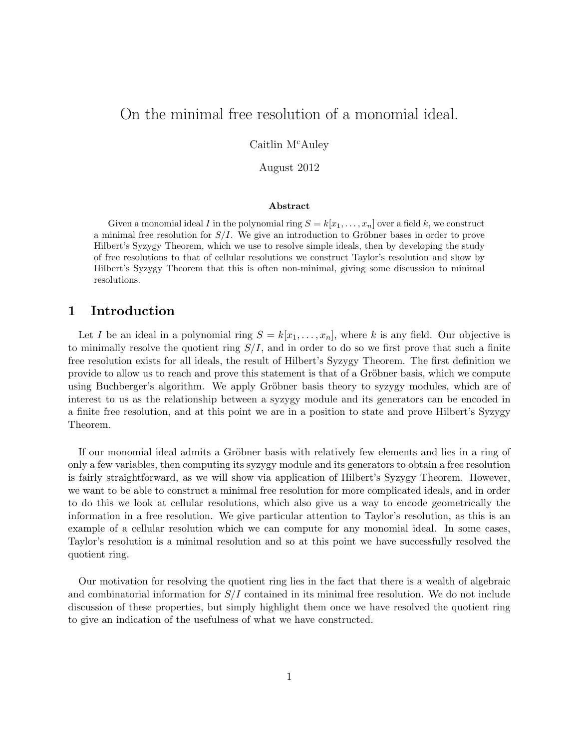# On the minimal free resolution of a monomial ideal.

Caitlin M<sup>c</sup>Auley

August 2012

#### Abstract

Given a monomial ideal I in the polynomial ring  $S = k[x_1, \ldots, x_n]$  over a field k, we construct a minimal free resolution for  $S/I$ . We give an introduction to Gröbner bases in order to prove Hilbert's Syzygy Theorem, which we use to resolve simple ideals, then by developing the study of free resolutions to that of cellular resolutions we construct Taylor's resolution and show by Hilbert's Syzygy Theorem that this is often non-minimal, giving some discussion to minimal resolutions.

### 1 Introduction

Let I be an ideal in a polynomial ring  $S = k[x_1, \ldots, x_n]$ , where k is any field. Our objective is to minimally resolve the quotient ring  $S/I$ , and in order to do so we first prove that such a finite free resolution exists for all ideals, the result of Hilbert's Syzygy Theorem. The first definition we provide to allow us to reach and prove this statement is that of a Gröbner basis, which we compute using Buchberger's algorithm. We apply Gröbner basis theory to syzygy modules, which are of interest to us as the relationship between a syzygy module and its generators can be encoded in a finite free resolution, and at this point we are in a position to state and prove Hilbert's Syzygy Theorem.

If our monomial ideal admits a Gröbner basis with relatively few elements and lies in a ring of only a few variables, then computing its syzygy module and its generators to obtain a free resolution is fairly straightforward, as we will show via application of Hilbert's Syzygy Theorem. However, we want to be able to construct a minimal free resolution for more complicated ideals, and in order to do this we look at cellular resolutions, which also give us a way to encode geometrically the information in a free resolution. We give particular attention to Taylor's resolution, as this is an example of a cellular resolution which we can compute for any monomial ideal. In some cases, Taylor's resolution is a minimal resolution and so at this point we have successfully resolved the quotient ring.

Our motivation for resolving the quotient ring lies in the fact that there is a wealth of algebraic and combinatorial information for  $S/I$  contained in its minimal free resolution. We do not include discussion of these properties, but simply highlight them once we have resolved the quotient ring to give an indication of the usefulness of what we have constructed.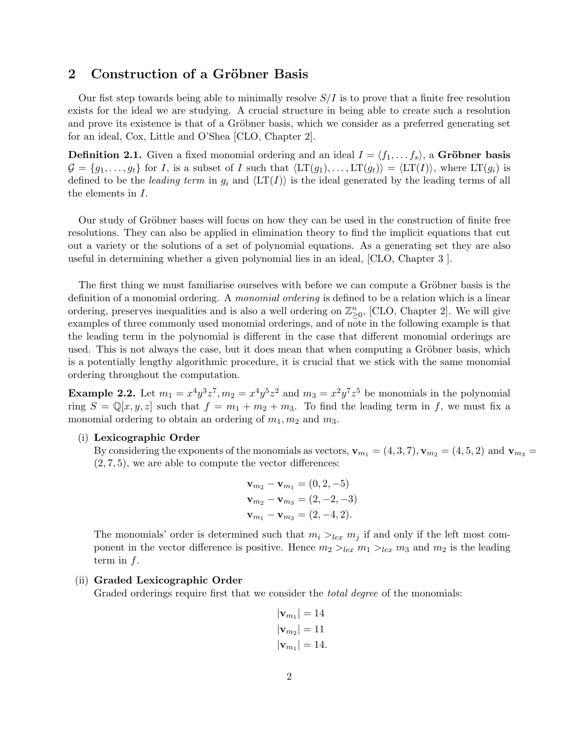### 2 Construction of a Gröbner Basis

Our fist step towards being able to minimally resolve  $S/I$  is to prove that a finite free resolution exists for the ideal we are studying. A crucial structure in being able to create such a resolution and prove its existence is that of a Gröbner basis, which we consider as a preferred generating set for an ideal, Cox, Little and O'Shea [CLO, Chapter 2].

**Definition 2.1.** Given a fixed monomial ordering and an ideal  $I = \langle f_1, \ldots, f_s \rangle$ , a Gröbner basis  $\mathcal{G} = \{g_1, \ldots, g_t\}$  for I, is a subset of I such that  $\langle \mathrm{LT}(g_1), \ldots, \mathrm{LT}(g_t) \rangle = \langle \mathrm{LT}(I) \rangle$ , where  $\mathrm{LT}(g_i)$  is defined to be the leading term in  $g_i$  and  $\langle \text{LT}(I) \rangle$  is the ideal generated by the leading terms of all the elements in I.

Our study of Gröbner bases will focus on how they can be used in the construction of finite free resolutions. They can also be applied in elimination theory to find the implicit equations that cut out a variety or the solutions of a set of polynomial equations. As a generating set they are also useful in determining whether a given polynomial lies in an ideal, [CLO, Chapter 3 ].

The first thing we must familiarise ourselves with before we can compute a Gröbner basis is the definition of a monomial ordering. A monomial ordering is defined to be a relation which is a linear ordering, preserves inequalities and is also a well ordering on  $\mathbb{Z}_{\geq 0}^n$ , [CLO, Chapter 2]. We will give examples of three commonly used monomial orderings, and of note in the following example is that the leading term in the polynomial is different in the case that different monomial orderings are used. This is not always the case, but it does mean that when computing a Gröbner basis, which is a potentially lengthy algorithmic procedure, it is crucial that we stick with the same monomial ordering throughout the computation.

**Example 2.2.** Let  $m_1 = x^4y^3z^7$ ,  $m_2 = x^4y^5z^2$  and  $m_3 = x^2y^7z^5$  be monomials in the polynomial ring  $S = \mathbb{Q}[x, y, z]$  such that  $f = m_1 + m_2 + m_3$ . To find the leading term in f, we must fix a monomial ordering to obtain an ordering of  $m_1, m_2$  and  $m_3$ .

#### (i) Lexicographic Order

By considering the exponents of the monomials as vectors,  $\mathbf{v}_{m_1} = (4, 3, 7), \mathbf{v}_{m_2} = (4, 5, 2)$  and  $\mathbf{v}_{m_3} =$  $(2, 7, 5)$ , we are able to compute the vector differences:

$$
\mathbf{v}_{m_2} - \mathbf{v}_{m_1} = (0, 2, -5)
$$
  

$$
\mathbf{v}_{m_2} - \mathbf{v}_{m_3} = (2, -2, -3)
$$
  

$$
\mathbf{v}_{m_1} - \mathbf{v}_{m_3} = (2, -4, 2).
$$

The monomials' order is determined such that  $m_i >_{lex} m_j$  if and only if the left most component in the vector difference is positive. Hence  $m_2 >_{lex} m_1 >_{lex} m_3$  and  $m_2$  is the leading term in  $f$ .

#### (ii) Graded Lexicographic Order

Graded orderings require first that we consider the *total degree* of the monomials:

$$
|\mathbf{v}_{m_1}| = 14
$$
  

$$
|\mathbf{v}_{m_2}| = 11
$$
  

$$
|\mathbf{v}_{m_1}| = 14.
$$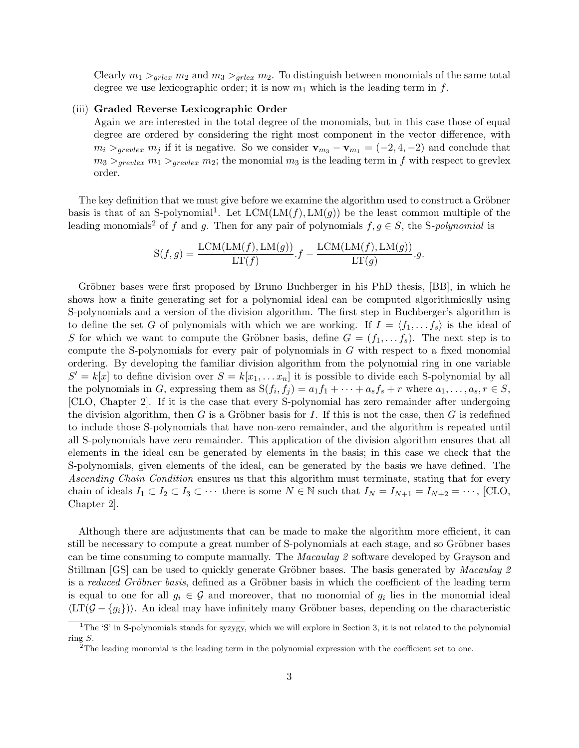Clearly  $m_1 >_{grlex} m_2$  and  $m_3 >_{grlex} m_2$ . To distinguish between monomials of the same total degree we use lexicographic order; it is now  $m_1$  which is the leading term in f.

#### (iii) Graded Reverse Lexicographic Order

Again we are interested in the total degree of the monomials, but in this case those of equal degree are ordered by considering the right most component in the vector difference, with  $m_i >_{greulex} m_j$  if it is negative. So we consider  $\mathbf{v}_{m_3} - \mathbf{v}_{m_1} = (-2, 4, -2)$  and conclude that  $m_3 >_{grevlex} m_1 >_{grevlex} m_2$ ; the monomial  $m_3$  is the leading term in f with respect to grevlex order.

The key definition that we must give before we examine the algorithm used to construct a Gröbner basis is that of an S-polynomial<sup>1</sup>. Let  $LCM(LM(f), LM(g))$  be the least common multiple of the leading monomials<sup>2</sup> of f and g. Then for any pair of polynomials  $f, g \in S$ , the S-polynomial is

$$
S(f,g) = \frac{LCM(LM(f), LM(g))}{LT(f)} \cdot f - \frac{LCM(LM(f), LM(g))}{LT(g)} \cdot g.
$$

Gröbner bases were first proposed by Bruno Buchberger in his PhD thesis, [BB], in which he shows how a finite generating set for a polynomial ideal can be computed algorithmically using S-polynomials and a version of the division algorithm. The first step in Buchberger's algorithm is to define the set G of polynomials with which we are working. If  $I = \langle f_1, \ldots, f_s \rangle$  is the ideal of S for which we want to compute the Gröbner basis, define  $G = (f_1, \ldots, f_s)$ . The next step is to compute the S-polynomials for every pair of polynomials in G with respect to a fixed monomial ordering. By developing the familiar division algorithm from the polynomial ring in one variable  $S' = k[x]$  to define division over  $S = k[x_1, \ldots x_n]$  it is possible to divide each S-polynomial by all the polynomials in G, expressing them as  $S(f_i, f_j) = a_1f_1 + \cdots + a_sf_s + r$  where  $a_1, \ldots, a_s, r \in S$ , [CLO, Chapter 2]. If it is the case that every S-polynomial has zero remainder after undergoing the division algorithm, then G is a Gröbner basis for I. If this is not the case, then G is redefined to include those S-polynomials that have non-zero remainder, and the algorithm is repeated until all S-polynomials have zero remainder. This application of the division algorithm ensures that all elements in the ideal can be generated by elements in the basis; in this case we check that the S-polynomials, given elements of the ideal, can be generated by the basis we have defined. The Ascending Chain Condition ensures us that this algorithm must terminate, stating that for every chain of ideals  $I_1 \subset I_2 \subset I_3 \subset \cdots$  there is some  $N \in \mathbb{N}$  such that  $I_N = I_{N+1} = I_{N+2} = \cdots$ , [CLO, Chapter 2].

Although there are adjustments that can be made to make the algorithm more efficient, it can still be necessary to compute a great number of S-polynomials at each stage, and so Gröbner bases can be time consuming to compute manually. The Macaulay 2 software developed by Grayson and Stillman [GS] can be used to quickly generate Gröbner bases. The basis generated by *Macaulay 2* is a reduced Gröbner basis, defined as a Gröbner basis in which the coefficient of the leading term is equal to one for all  $g_i \in \mathcal{G}$  and moreover, that no monomial of  $g_i$  lies in the monomial ideal  $\langle \text{LT}(\mathcal{G} - \{g_i\})\rangle$ . An ideal may have infinitely many Gröbner bases, depending on the characteristic

<sup>&</sup>lt;sup>1</sup>The 'S' in S-polynomials stands for syzygy, which we will explore in Section 3, it is not related to the polynomial ring S.

 $2^2$ The leading monomial is the leading term in the polynomial expression with the coefficient set to one.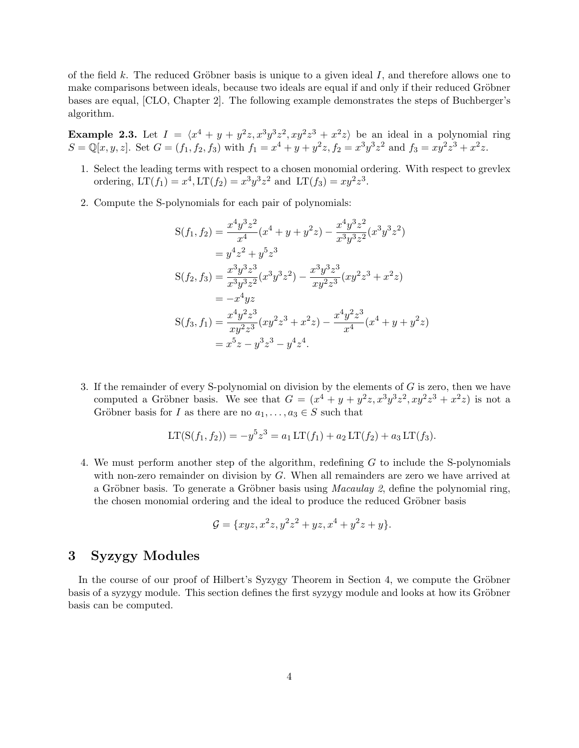of the field k. The reduced Gröbner basis is unique to a given ideal  $I$ , and therefore allows one to make comparisons between ideals, because two ideals are equal if and only if their reduced Gröbner bases are equal, [CLO, Chapter 2]. The following example demonstrates the steps of Buchberger's algorithm.

**Example 2.3.** Let  $I = \langle x^4 + y + y^2z, x^3y^3z^2, xy^2z^3 + x^2z \rangle$  be an ideal in a polynomial ring  $S = \mathbb{Q}[x, y, z]$ . Set  $G = (f_1, f_2, f_3)$  with  $f_1 = x^4 + y + y^2z$ ,  $f_2 = x^3y^3z^2$  and  $f_3 = xy^2z^3 + x^2z$ .

- 1. Select the leading terms with respect to a chosen monomial ordering. With respect to grevlex ordering,  $LT(f_1) = x^4, LT(f_2) = x^3y^3z^2$  and  $LT(f_3) = xy^2z^3$ .
- 2. Compute the S-polynomials for each pair of polynomials:

$$
S(f_1, f_2) = \frac{x^4 y^3 z^2}{x^4} (x^4 + y + y^2 z) - \frac{x^4 y^3 z^2}{x^3 y^3 z^2} (x^3 y^3 z^2)
$$
  
\n
$$
= y^4 z^2 + y^5 z^3
$$
  
\n
$$
S(f_2, f_3) = \frac{x^3 y^3 z^3}{x^3 y^3 z^2} (x^3 y^3 z^2) - \frac{x^3 y^3 z^3}{x y^2 z^3} (x y^2 z^3 + x^2 z)
$$
  
\n
$$
= -x^4 y z
$$
  
\n
$$
S(f_3, f_1) = \frac{x^4 y^2 z^3}{x y^2 z^3} (x y^2 z^3 + x^2 z) - \frac{x^4 y^2 z^3}{x^4} (x^4 + y + y^2 z)
$$
  
\n
$$
= x^5 z - y^3 z^3 - y^4 z^4.
$$

3. If the remainder of every S-polynomial on division by the elements of G is zero, then we have computed a Gröbner basis. We see that  $G = (x^4 + y + y^2z, x^3y^3z^2, xy^2z^3 + x^2z)$  is not a Gröbner basis for I as there are no  $a_1, \ldots, a_3 \in S$  such that

$$
LT(S(f_1, f_2)) = -y^5 z^3 = a_1 LT(f_1) + a_2 LT(f_2) + a_3 LT(f_3).
$$

4. We must perform another step of the algorithm, redefining G to include the S-polynomials with non-zero remainder on division by G. When all remainders are zero we have arrived at a Gröbner basis. To generate a Gröbner basis using *Macaulay* 2, define the polynomial ring, the chosen monomial ordering and the ideal to produce the reduced Gröbner basis

$$
\mathcal{G} = \{ xyz, x^2z, y^2z^2 + yz, x^4 + y^2z + y \}.
$$

## 3 Syzygy Modules

In the course of our proof of Hilbert's Syzygy Theorem in Section 4, we compute the Gröbner basis of a syzygy module. This section defines the first syzygy module and looks at how its Gröbner basis can be computed.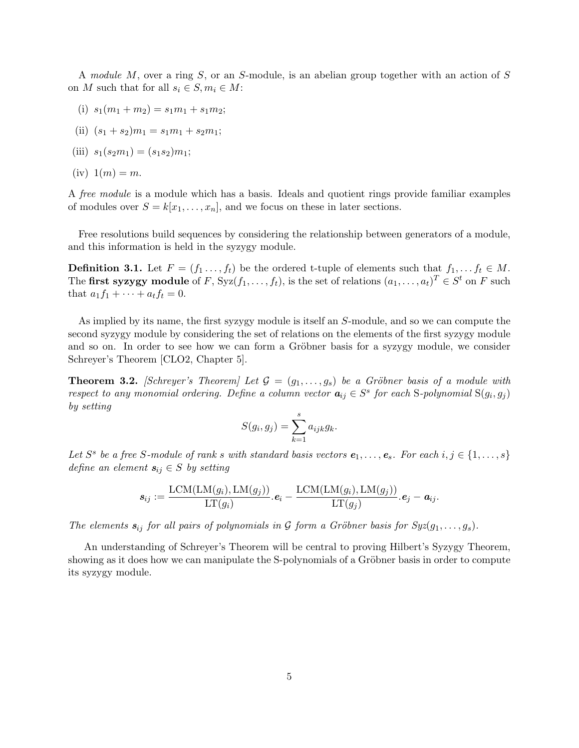A module M, over a ring S, or an S-module, is an abelian group together with an action of S on M such that for all  $s_i \in S, m_i \in M$ :

- (i)  $s_1(m_1 + m_2) = s_1m_1 + s_1m_2;$
- (ii)  $(s_1 + s_2)m_1 = s_1m_1 + s_2m_1;$
- (iii)  $s_1(s_2m_1) = (s_1s_2)m_1;$
- (iv)  $1(m) = m$ .

A free module is a module which has a basis. Ideals and quotient rings provide familiar examples of modules over  $S = k[x_1, \ldots, x_n]$ , and we focus on these in later sections.

Free resolutions build sequences by considering the relationship between generators of a module, and this information is held in the syzygy module.

**Definition 3.1.** Let  $F = (f_1 \ldots, f_t)$  be the ordered t-tuple of elements such that  $f_1, \ldots, f_t \in M$ . The first syzygy module of F, Syz $(f_1, \ldots, f_t)$ , is the set of relations  $(a_1, \ldots, a_t)^T \in S^t$  on F such that  $a_1 f_1 + \cdots + a_t f_t = 0$ .

As implied by its name, the first syzygy module is itself an S-module, and so we can compute the second syzygy module by considering the set of relations on the elements of the first syzygy module and so on. In order to see how we can form a Gröbner basis for a syzygy module, we consider Schreyer's Theorem [CLO2, Chapter 5].

**Theorem 3.2.** [Schreyer's Theorem] Let  $\mathcal{G} = (g_1, \ldots, g_s)$  be a Gröbner basis of a module with respect to any monomial ordering. Define a column vector  $a_{ij} \in S^s$  for each S-polynomial  $S(g_i, g_j)$ by setting

$$
S(g_i, g_j) = \sum_{k=1}^s a_{ijk} g_k.
$$

Let  $S^s$  be a free S-module of rank s with standard basis vectors  $e_1, \ldots, e_s$ . For each  $i, j \in \{1, \ldots, s\}$ define an element  $s_{ij} \in S$  by setting

$$
\boldsymbol{s}_{ij} := \frac{\text{LCM}(\text{LM}(g_i), \text{LM}(g_j))}{\text{LT}(g_i)} \cdot \boldsymbol{e}_i - \frac{\text{LCM}(\text{LM}(g_i), \text{LM}(g_j))}{\text{LT}(g_j)} \cdot \boldsymbol{e}_j - \boldsymbol{a}_{ij}.
$$

The elements  $s_{ij}$  for all pairs of polynomials in G form a Gröbner basis for  $Syz(g_1, \ldots, g_s)$ .

An understanding of Schreyer's Theorem will be central to proving Hilbert's Syzygy Theorem, showing as it does how we can manipulate the S-polynomials of a Gröbner basis in order to compute its syzygy module.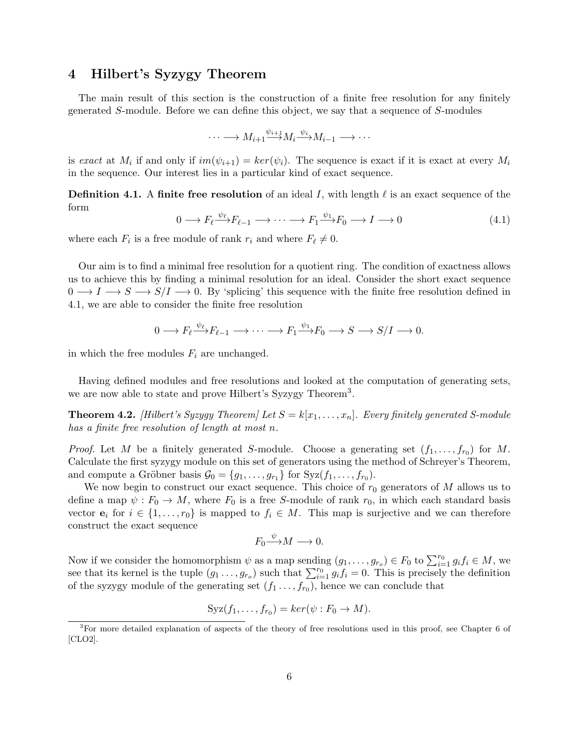# 4 Hilbert's Syzygy Theorem

The main result of this section is the construction of a finite free resolution for any finitely generated S-module. Before we can define this object, we say that a sequence of S-modules

$$
\cdots \longrightarrow M_{i+1} \xrightarrow{\psi_{i+1}} M_i \xrightarrow{\psi_i} M_{i-1} \longrightarrow \cdots
$$

is exact at  $M_i$  if and only if  $im(\psi_{i+1}) = ker(\psi_i)$ . The sequence is exact if it is exact at every  $M_i$ in the sequence. Our interest lies in a particular kind of exact sequence.

**Definition 4.1.** A finite free resolution of an ideal I, with length  $\ell$  is an exact sequence of the form

$$
0 \longrightarrow F_{\ell} \xrightarrow{\psi_{\ell}} F_{\ell-1} \longrightarrow \cdots \longrightarrow F_1 \xrightarrow{\psi_1} F_0 \longrightarrow I \longrightarrow 0
$$
\n
$$
(4.1)
$$

where each  $F_i$  is a free module of rank  $r_i$  and where  $F_\ell \neq 0$ .

Our aim is to find a minimal free resolution for a quotient ring. The condition of exactness allows us to achieve this by finding a minimal resolution for an ideal. Consider the short exact sequence  $0 \longrightarrow I \longrightarrow S \longrightarrow S/I \longrightarrow 0$ . By 'splicing' this sequence with the finite free resolution defined in 4.1, we are able to consider the finite free resolution

$$
0 \longrightarrow F_{\ell} \xrightarrow{\psi_{\ell}} F_{\ell-1} \longrightarrow \cdots \longrightarrow F_1 \xrightarrow{\psi_1} F_0 \longrightarrow S \longrightarrow S/I \longrightarrow 0.
$$

in which the free modules  $F_i$  are unchanged.

Having defined modules and free resolutions and looked at the computation of generating sets, we are now able to state and prove Hilbert's Syzygy Theorem<sup>3</sup>.

**Theorem 4.2.** [Hilbert's Syzygy Theorem] Let  $S = k[x_1, \ldots, x_n]$ . Every finitely generated S-module has a finite free resolution of length at most n.

*Proof.* Let M be a finitely generated S-module. Choose a generating set  $(f_1, \ldots, f_{r_0})$  for M. Calculate the first syzygy module on this set of generators using the method of Schreyer's Theorem, and compute a Gröbner basis  $\mathcal{G}_0 = \{g_1, \ldots, g_{r_1}\}\$  for  $Syz(f_1, \ldots, f_{r_0})$ .

We now begin to construct our exact sequence. This choice of  $r_0$  generators of M allows us to define a map  $\psi : F_0 \to M$ , where  $F_0$  is a free S-module of rank  $r_0$ , in which each standard basis vector  $e_i$  for  $i \in \{1, \ldots, r_0\}$  is mapped to  $f_i \in M$ . This map is surjective and we can therefore construct the exact sequence

$$
F_0 {\overset{\psi}{\longrightarrow}} M \longrightarrow 0.
$$

Now if we consider the homomorphism  $\psi$  as a map sending  $(g_1, \ldots, g_{r_o}) \in F_0$  to  $\sum_{i=1}^{r_0} g_i f_i \in M$ , we see that its kernel is the tuple  $(g_1 \ldots, g_{r_o})$  such that  $\sum_{i=1}^{r_0} g_i f_i = 0$ . This is precisely the definition of the syzygy module of the generating set  $(f_1 \ldots, f_{r_0})$ , hence we can conclude that

$$
Syz(f_1,\ldots,f_{r_0})=ker(\psi:F_0\to M).
$$

<sup>3</sup>For more detailed explanation of aspects of the theory of free resolutions used in this proof, see Chapter 6 of [CLO2].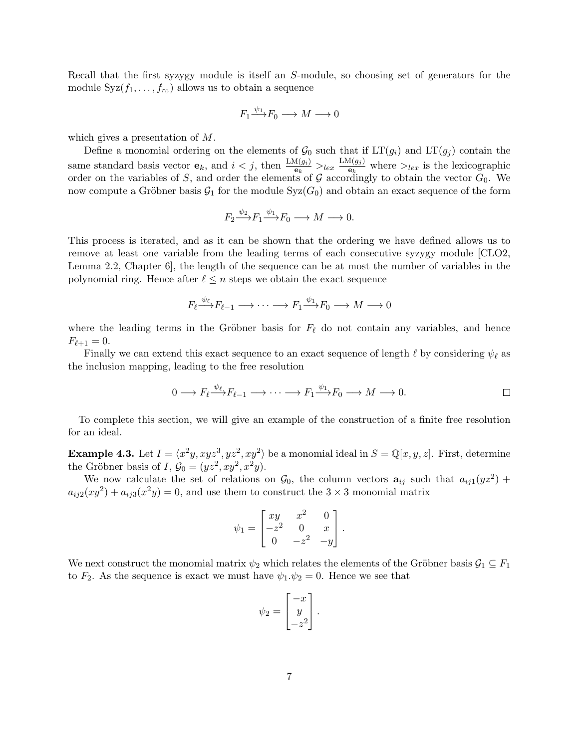Recall that the first syzygy module is itself an S-module, so choosing set of generators for the module  $Syz(f_1, \ldots, f_{r_0})$  allows us to obtain a sequence

$$
F_1 \xrightarrow{\psi_1} F_0 \longrightarrow M \longrightarrow 0
$$

which gives a presentation of M.

Define a monomial ordering on the elements of  $\mathcal{G}_0$  such that if  $LT(g_i)$  and  $LT(g_j)$  contain the same standard basis vector  $\mathbf{e}_k$ , and  $i < j$ , then  $\frac{\text{LM}(g_i)}{\mathbf{e}_k} >_{lex} \frac{\text{LM}(g_j)}{\mathbf{e}_k}$  $\frac{\mu(g_j)}{\mathbf{e}_k}$  where  $>_{lex}$  is the lexicographic order on the variables of S, and order the elements of G accordingly to obtain the vector  $G_0$ . We now compute a Gröbner basis  $G_1$  for the module  $Syz(G_0)$  and obtain an exact sequence of the form

$$
F_2 \xrightarrow{\psi_2} F_1 \xrightarrow{\psi_1} F_0 \longrightarrow M \longrightarrow 0.
$$

This process is iterated, and as it can be shown that the ordering we have defined allows us to remove at least one variable from the leading terms of each consecutive syzygy module [CLO2, Lemma 2.2, Chapter 6], the length of the sequence can be at most the number of variables in the polynomial ring. Hence after  $\ell \leq n$  steps we obtain the exact sequence

$$
F_{\ell} \xrightarrow{\psi_{\ell}} F_{\ell-1} \longrightarrow \cdots \longrightarrow F_1 \xrightarrow{\psi_1} F_0 \longrightarrow M \longrightarrow 0
$$

where the leading terms in the Gröbner basis for  $F_\ell$  do not contain any variables, and hence  $F_{\ell+1} = 0.$ 

Finally we can extend this exact sequence to an exact sequence of length  $\ell$  by considering  $\psi_{\ell}$  as the inclusion mapping, leading to the free resolution

$$
0 \longrightarrow F_{\ell} \xrightarrow{\psi_{\ell}} F_{\ell-1} \longrightarrow \cdots \longrightarrow F_1 \xrightarrow{\psi_1} F_0 \longrightarrow M \longrightarrow 0.
$$

To complete this section, we will give an example of the construction of a finite free resolution for an ideal.

**Example 4.3.** Let  $I = \langle x^2y, xyz^3, yz^2, xy^2 \rangle$  be a monomial ideal in  $S = \mathbb{Q}[x, y, z]$ . First, determine the Gröbner basis of I,  $\mathcal{G}_0 = (yz^2, xy^2, x^2y)$ .

We now calculate the set of relations on  $\mathcal{G}_0$ , the column vectors  $\mathbf{a}_{ij}$  such that  $a_{ij1}(yz^2)$  +  $a_{ij2}(xy^2) + a_{ij3}(x^2y) = 0$ , and use them to construct the  $3 \times 3$  monomial matrix

$$
\psi_1 = \begin{bmatrix} xy & x^2 & 0 \\ -z^2 & 0 & x \\ 0 & -z^2 & -y \end{bmatrix}.
$$

We next construct the monomial matrix  $\psi_2$  which relates the elements of the Gröbner basis  $\mathcal{G}_1 \subseteq F_1$ to  $F_2$ . As the sequence is exact we must have  $\psi_1 \psi_2 = 0$ . Hence we see that

$$
\psi_2 = \begin{bmatrix} -x \\ y \\ -z^2 \end{bmatrix}.
$$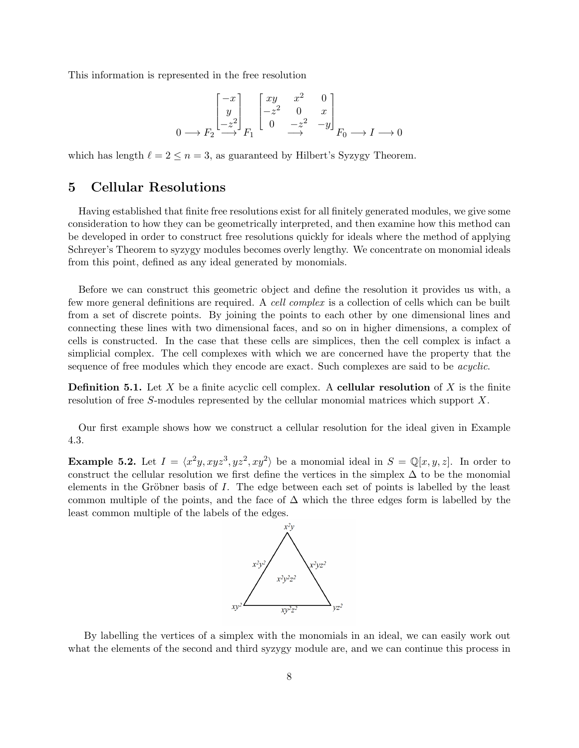This information is represented in the free resolution

$$
\begin{bmatrix} -x \\ y \\ -z^2 \end{bmatrix}_{F_1} \begin{bmatrix} xy & x^2 & 0 \\ -z^2 & 0 & x \\ 0 & -z^2 & -y \end{bmatrix}_{F_0} \longrightarrow I \longrightarrow 0
$$

which has length  $\ell = 2 \leq n = 3$ , as guaranteed by Hilbert's Syzygy Theorem.

# 5 Cellular Resolutions

Having established that finite free resolutions exist for all finitely generated modules, we give some consideration to how they can be geometrically interpreted, and then examine how this method can be developed in order to construct free resolutions quickly for ideals where the method of applying Schreyer's Theorem to syzygy modules becomes overly lengthy. We concentrate on monomial ideals from this point, defined as any ideal generated by monomials.

Before we can construct this geometric object and define the resolution it provides us with, a few more general definitions are required. A cell complex is a collection of cells which can be built from a set of discrete points. By joining the points to each other by one dimensional lines and connecting these lines with two dimensional faces, and so on in higher dimensions, a complex of cells is constructed. In the case that these cells are simplices, then the cell complex is infact a simplicial complex. The cell complexes with which we are concerned have the property that the sequence of free modules which they encode are exact. Such complexes are said to be *acyclic*.

**Definition 5.1.** Let X be a finite acyclic cell complex. A **cellular resolution** of X is the finite resolution of free S-modules represented by the cellular monomial matrices which support X.

Our first example shows how we construct a cellular resolution for the ideal given in Example 4.3.

**Example 5.2.** Let  $I = \langle x^2y, xyz^3, yz^2, xy^2 \rangle$  be a monomial ideal in  $S = \mathbb{Q}[x, y, z]$ . In order to construct the cellular resolution we first define the vertices in the simplex  $\Delta$  to be the monomial elements in the Gröbner basis of I. The edge between each set of points is labelled by the least common multiple of the points, and the face of  $\Delta$  which the three edges form is labelled by the least common multiple of the labels of the edges.



By labelling the vertices of a simplex with the monomials in an ideal, we can easily work out what the elements of the second and third syzygy module are, and we can continue this process in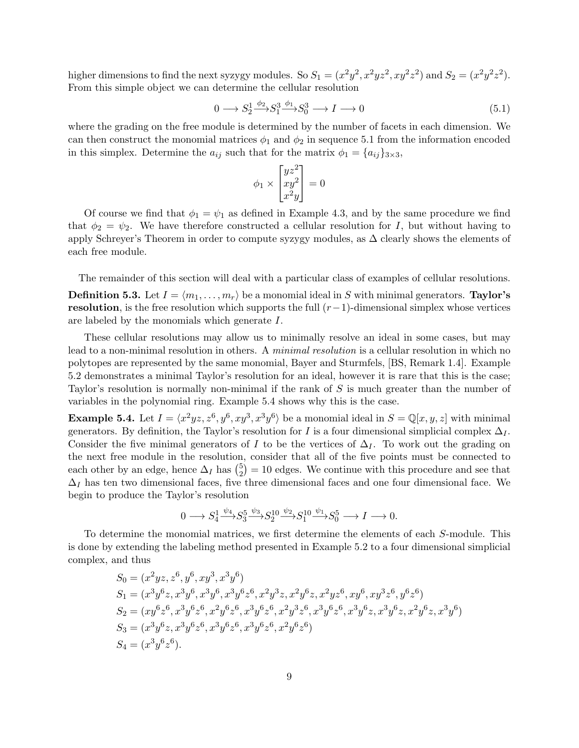higher dimensions to find the next syzygy modules. So  $S_1 = (x^2y^2, x^2yz^2, xy^2z^2)$  and  $S_2 = (x^2y^2z^2)$ . From this simple object we can determine the cellular resolution

$$
0 \longrightarrow S_2^1 \xrightarrow{\phi_2} S_1^3 \xrightarrow{\phi_1} S_0^3 \longrightarrow I \longrightarrow 0 \tag{5.1}
$$

where the grading on the free module is determined by the number of facets in each dimension. We can then construct the monomial matrices  $\phi_1$  and  $\phi_2$  in sequence 5.1 from the information encoded in this simplex. Determine the  $a_{ij}$  such that for the matrix  $\phi_1 = \{a_{ij}\}_{3\times 3}$ ,

$$
\phi_1 \times \begin{bmatrix} yz^2\\ xy^2\\ x^2y \end{bmatrix} = 0
$$

Of course we find that  $\phi_1 = \psi_1$  as defined in Example 4.3, and by the same procedure we find that  $\phi_2 = \psi_2$ . We have therefore constructed a cellular resolution for I, but without having to apply Schreyer's Theorem in order to compute syzygy modules, as  $\Delta$  clearly shows the elements of each free module.

The remainder of this section will deal with a particular class of examples of cellular resolutions. **Definition 5.3.** Let  $I = \langle m_1, \ldots, m_r \rangle$  be a monomial ideal in S with minimal generators. **Taylor's** resolution, is the free resolution which supports the full  $(r-1)$ -dimensional simplex whose vertices are labeled by the monomials which generate I.

These cellular resolutions may allow us to minimally resolve an ideal in some cases, but may lead to a non-minimal resolution in others. A minimal resolution is a cellular resolution in which no polytopes are represented by the same monomial, Bayer and Sturmfels, [BS, Remark 1.4]. Example 5.2 demonstrates a minimal Taylor's resolution for an ideal, however it is rare that this is the case; Taylor's resolution is normally non-minimal if the rank of S is much greater than the number of variables in the polynomial ring. Example 5.4 shows why this is the case.

**Example 5.4.** Let  $I = \langle x^2yz, z^6, y^6, xy^3, x^3y^6 \rangle$  be a monomial ideal in  $S = \mathbb{Q}[x, y, z]$  with minimal generators. By definition, the Taylor's resolution for I is a four dimensional simplicial complex  $\Delta_I$ . Consider the five minimal generators of I to be the vertices of  $\Delta_I$ . To work out the grading on the next free module in the resolution, consider that all of the five points must be connected to each other by an edge, hence  $\Delta_I$  has  $\binom{5}{2}$  $_{2}^{5}$ ) = 10 edges. We continue with this procedure and see that  $\Delta_I$  has ten two dimensional faces, five three dimensional faces and one four dimensional face. We begin to produce the Taylor's resolution

$$
0 \longrightarrow S_4^1 \xrightarrow{\psi_4} S_3^5 \xrightarrow{\psi_3} S_2^{10} \xrightarrow{\psi_2} S_1^{10} \xrightarrow{\psi_1} S_0^5 \longrightarrow I \longrightarrow 0.
$$

To determine the monomial matrices, we first determine the elements of each S-module. This is done by extending the labeling method presented in Example 5.2 to a four dimensional simplicial complex, and thus

$$
S_0 = (x^2yz, z^6, y^6, xy^3, x^3y^6)
$$
  
\n
$$
S_1 = (x^3y^6z, x^3y^6, x^3y^6, x^3y^6z^6, x^2y^3z, x^2y^6z, x^2yz^6, xy^6, xy^3z^6, y^6z^6)
$$
  
\n
$$
S_2 = (xy^6z^6, x^3y^6z^6, x^2y^6z^6, x^3y^6z^6, x^2y^3z^6, x^3y^6z^6, x^3y^6z^6, x^3y^6z, x^3y^6z, x^2y^6z, x^3y^6z^6, x^3y^6)
$$
  
\n
$$
S_3 = (x^3y^6z, x^3y^6z^6, x^3y^6z^6, x^3y^6z^6, x^2y^6z^6)
$$
  
\n
$$
S_4 = (x^3y^6z^6).
$$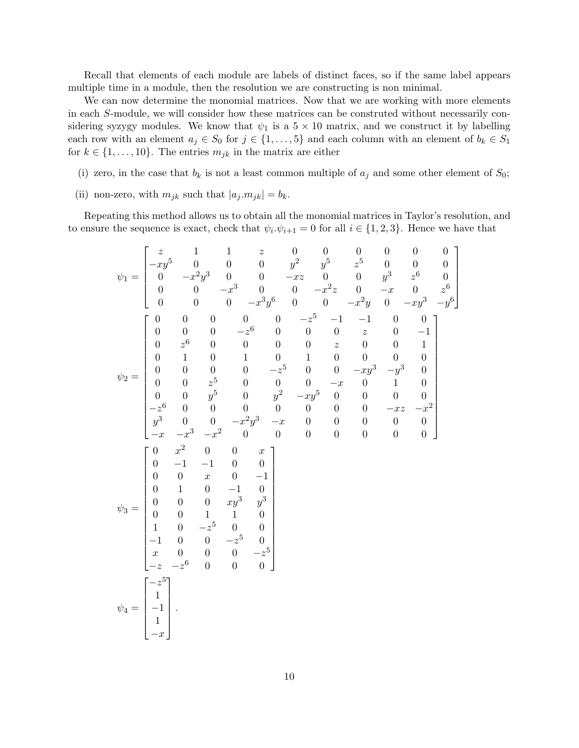Recall that elements of each module are labels of distinct faces, so if the same label appears multiple time in a module, then the resolution we are constructing is non minimal.

We can now determine the monomial matrices. Now that we are working with more elements in each S-module, we will consider how these matrices can be construted without necessarily considering syzygy modules. We know that  $\psi_1$  is a  $5 \times 10$  matrix, and we construct it by labelling each row with an element  $a_j \in S_0$  for  $j \in \{1, \ldots, 5\}$  and each column with an element of  $b_k \in S_1$ for  $k \in \{1, \ldots, 10\}$ . The entries  $m_{jk}$  in the matrix are either

- (i) zero, in the case that  $b_k$  is not a least common multiple of  $a_j$  and some other element of  $S_0$ ;
- (ii) non-zero, with  $m_{jk}$  such that  $|a_j \cdot m_{jk}| = b_k$ .

Repeating this method allows us to obtain all the monomial matrices in Taylor's resolution, and to ensure the sequence is exact, check that  $\psi_i \cdot \psi_{i+1} = 0$  for all  $i \in \{1, 2, 3\}$ . Hence we have that

$$
\psi_1 = \begin{bmatrix} z & 1 & 1 & z & 0 & 0 & 0 & 0 & 0 & 0 & 0 \\ -xy^5 & 0 & 0 & 0 & y^2 & y^5 & z^5 & 0 & 0 & 0 \\ 0 & -x^2y^3 & 0 & 0 & -xz & 0 & 0 & y^3 & z^6 & 0 \\ 0 & 0 & -x^3 & 0 & 0 & -x^2z & 0 & -x & 0 & z^6 \\ 0 & 0 & 0 & -x^3y^6 & 0 & 0 & -x^2y & 0 & -xy^3 & -y^6 \end{bmatrix}
$$
  
\n
$$
\psi_2 = \begin{bmatrix} 0 & 0 & 0 & 0 & 0 & 0 & -z^5 & -1 & -1 & 0 & 0 \\ 0 & 0 & 0 & 0 & 0 & 0 & z^5 & -1 & -1 & 0 & 0 \\ 0 & 0 & 0 & 0 & 0 & 0 & 0 & z & 0 & -1 \\ 0 & 0 & 0 & 0 & 0 & 0 & 0 & z & 0 & 0 & 1 \\ 0 & 0 & 0 & 0 & 0 & -z^5 & 0 & 0 & 0 & -xy^3 & -y^3 & 0 \\ 0 & 0 & z^5 & 0 & 0 & 0 & 0 & -x & 0 & 1 & 0 \\ 0 & 0 & y^5 & 0 & y^2 & -xy^5 & 0 & 0 & 0 & 0 & 0 \\ -z^6 & 0 & 0 & 0 & 0 & 0 & 0 & 0 & 0 & 0 & 0 \\ -x^2 & 0 & 0 & 0 & 0 & 0 & 0 & 0 & 0 & 0 & 0 \\ 0 & -1 & -1 & 0 & 0 & 0 & 0 & 0 & 0 & 0 & 0 \\ 0 & 0 & 0 & xy^3 & y^3 & 0 & 0 & 0 & 0 & 0 & 0 \\ 0 & 0 & 0 & xy^3 & y^3 & 0 & 0 & 0 & 0 & -z^5 & 0 \\ 0 & -1 & 0 & 0 & -z^5 & 0 & 0 & 0 & 0 & 0 \\ 0 & 0 & 0 & 0 & 0 & 0 & 0 & 0 & 0 & 0 \\ x & 0 & 0 & 0 & 0 & 0 & 0 & 0 & 0 & 0 \\ x & 0 & 0 & 0 & 0 & 0 & 0 & 0 & 0 & 0 \\ x & -x
$$